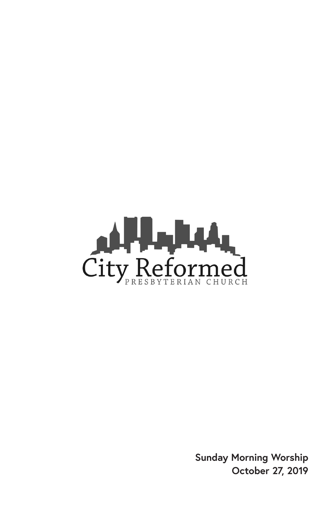

**Sunday Morning Worship October 27, 2019**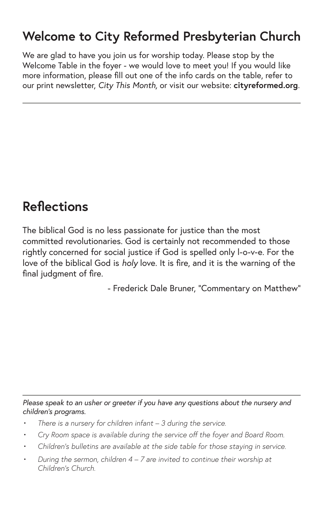# **Welcome to City Reformed Presbyterian Church**

We are glad to have you join us for worship today. Please stop by the Welcome Table in the foyer - we would love to meet you! If you would like more information, please fill out one of the info cards on the table, refer to our print newsletter, *City This Month,* or visit our website: **cityreformed.org**.

# **Reflections**

The biblical God is no less passionate for justice than the most committed revolutionaries. God is certainly not recommended to those rightly concerned for social justice if God is spelled only l-o-v-e. For the love of the biblical God is *holy* love. It is fire, and it is the warning of the final judgment of fire.

- Frederick Dale Bruner, "Commentary on Matthew"

*Please speak to an usher or greeter if you have any questions about the nursery and children's programs.*

- *• There is a nursery for children infant 3 during the service.*
- *• Cry Room space is available during the service off the foyer and Board Room.*
- *• Children's bulletins are available at the side table for those staying in service.*
- *• During the sermon, children 4 7 are invited to continue their worship at Children's Church.*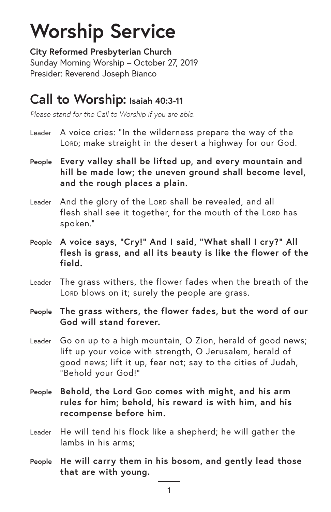# **Worship Service**

**City Reformed Presbyterian Church** Sunday Morning Worship – October 27, 2019 Presider: Reverend Joseph Bianco

### **Call to Worship: Isaiah 40:3-11**

*Please stand for the Call to Worship if you are able.*

- Leader A voice cries: "In the wilderness prepare the way of the LORD; make straight in the desert a highway for our God.
- **People Every valley shall be lifted up, and every mountain and hill be made low; the uneven ground shall become level, and the rough places a plain.**
- Leader And the glory of the LORD shall be revealed, and all flesh shall see it together, for the mouth of the LORD has spoken."
- **People A voice says, "Cry!" And I said, "What shall I cry?" All flesh is grass, and all its beauty is like the flower of the field.**
- Leader The grass withers, the flower fades when the breath of the Lord blows on it; surely the people are grass.
- **People The grass withers, the flower fades, but the word of our God will stand forever.**
- Leader Go on up to a high mountain, O Zion, herald of good news; lift up your voice with strength, O Jerusalem, herald of good news; lift it up, fear not; say to the cities of Judah, "Behold your God!"
- **People** Behold, the Lord God comes with might, and his arm **rules for him; behold, his reward is with him, and his recompense before him.**
- Leader He will tend his flock like a shepherd; he will gather the lambs in his arms;
- **People He will carry them in his bosom, and gently lead those that are with young.**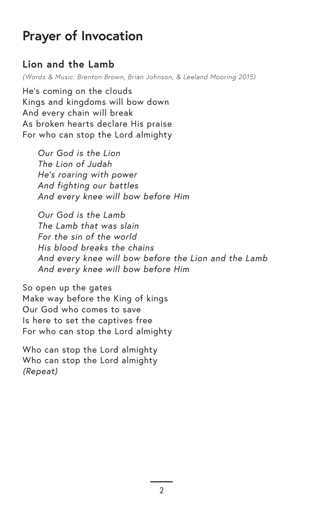# **Prayer of Invocation**

#### **Lion and the Lamb**

*(Words & Music: Brenton Brown, Brian Johnson, & Leeland Mooring 2015)*

He's coming on the clouds Kings and kingdoms will bow down And every chain will break As broken hearts declare His praise For who can stop the Lord almighty

*Our God is the Lion The Lion of Judah He's roaring with power And fighting our battles And every knee will bow before Him*

*Our God is the Lamb The Lamb that was slain For the sin of the world His blood breaks the chains And every knee will bow before the Lion and the Lamb And every knee will bow before Him*

So open up the gates Make way before the King of kings Our God who comes to save Is here to set the captives free For who can stop the Lord almighty

Who can stop the Lord almighty Who can stop the Lord almighty *(Repeat)*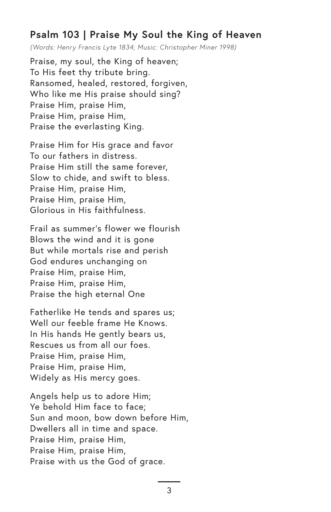#### **Psalm 103 | Praise My Soul the King of Heaven**

*(Words: Henry Francis Lyte 1834; Music: Christopher Miner 1998)*

Praise, my soul, the King of heaven; To His feet thy tribute bring. Ransomed, healed, restored, forgiven, Who like me His praise should sing? Praise Him, praise Him, Praise Him, praise Him, Praise the everlasting King.

Praise Him for His grace and favor To our fathers in distress. Praise Him still the same forever, Slow to chide, and swift to bless. Praise Him, praise Him, Praise Him, praise Him, Glorious in His faithfulness.

Frail as summer's flower we flourish Blows the wind and it is gone But while mortals rise and perish God endures unchanging on Praise Him, praise Him, Praise Him, praise Him, Praise the high eternal One

Fatherlike He tends and spares us; Well our feeble frame He Knows. In His hands He gently bears us, Rescues us from all our foes. Praise Him, praise Him, Praise Him, praise Him, Widely as His mercy goes.

Angels help us to adore Him; Ye behold Him face to face; Sun and moon, bow down before Him, Dwellers all in time and space. Praise Him, praise Him, Praise Him, praise Him, Praise with us the God of grace.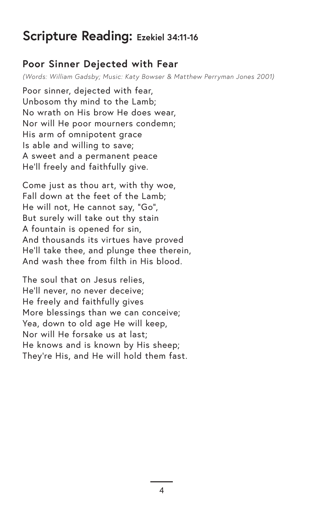### **Scripture Reading: Ezekiel 34:11-16**

#### **Poor Sinner Dejected with Fear**

*(Words: William Gadsby; Music: Katy Bowser & Matthew Perryman Jones 2001)*

Poor sinner, dejected with fear, Unbosom thy mind to the Lamb; No wrath on His brow He does wear, Nor will He poor mourners condemn; His arm of omnipotent grace Is able and willing to save; A sweet and a permanent peace He'll freely and faithfully give.

Come just as thou art, with thy woe, Fall down at the feet of the Lamb; He will not, He cannot say, "Go", But surely will take out thy stain A fountain is opened for sin, And thousands its virtues have proved He'll take thee, and plunge thee therein, And wash thee from filth in His blood.

The soul that on Jesus relies, He'll never, no never deceive; He freely and faithfully gives More blessings than we can conceive; Yea, down to old age He will keep, Nor will He forsake us at last; He knows and is known by His sheep; They're His, and He will hold them fast.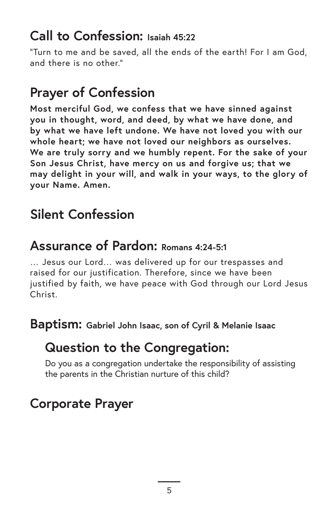# **Call to Confession: Isaiah 45:22**

"Turn to me and be saved, all the ends of the earth! For I am God, and there is no other."

# **Prayer of Confession**

**Most merciful God, we confess that we have sinned against you in thought, word, and deed, by what we have done, and by what we have left undone. We have not loved you with our whole heart; we have not loved our neighbors as ourselves. We are truly sorry and we humbly repent. For the sake of your Son Jesus Christ, have mercy on us and forgive us; that we may delight in your will, and walk in your ways, to the glory of your Name. Amen.** 

# **Silent Confession**

### **Assurance of Pardon: Romans 4:24-5:1**

… Jesus our Lord… was delivered up for our trespasses and raised for our justification. Therefore, since we have been justified by faith, we have peace with God through our Lord Jesus Christ.

### **Baptism: Gabriel John Isaac, son of Cyril & Melanie Isaac**

### **Question to the Congregation:**

Do you as a congregation undertake the responsibility of assisting the parents in the Christian nurture of this child?

# **Corporate Prayer**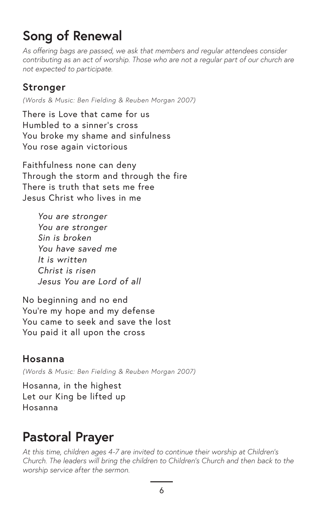# **Song of Renewal**

*As offering bags are passed, we ask that members and regular attendees consider contributing as an act of worship. Those who are not a regular part of our church are not expected to participate.*

#### **Stronger**

*(Words & Music: Ben Fielding & Reuben Morgan 2007)*

There is Love that came for us Humbled to a sinner's cross You broke my shame and sinfulness You rose again victorious

Faithfulness none can deny Through the storm and through the fire There is truth that sets me free Jesus Christ who lives in me

*You are stronger You are stronger Sin is broken You have saved me It is written Christ is risen Jesus You are Lord of all*

No beginning and no end You're my hope and my defense You came to seek and save the lost You paid it all upon the cross

#### **Hosanna**

*(Words & Music: Ben Fielding & Reuben Morgan 2007)*

Hosanna, in the highest Let our King be lifted up Hosanna

# **Pastoral Prayer**

*At this time, children ages 4-7 are invited to continue their worship at Children's Church. The leaders will bring the children to Children's Church and then back to the worship service after the sermon.*

6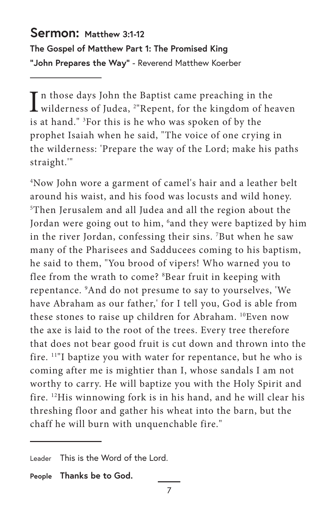# **Sermon: Matthew 3:1-12**

**The Gospel of Matthew Part 1: The Promised King "John Prepares the Way"** - Reverend Matthew Koerber

In those days John the Baptist came preaching in the<br>wilderness of Judea, <sup>2</sup>"Repent, for the kingdom of heaven  $\mathbf T$  n those days John the Baptist came preaching in the is at hand." 3 For this is he who was spoken of by the prophet Isaiah when he said, "The voice of one crying in the wilderness: 'Prepare the way of the Lord; make his paths straight.'"

4 Now John wore a garment of camel's hair and a leather belt around his waist, and his food was locusts and wild honey. 5 Then Jerusalem and all Judea and all the region about the Jordan were going out to him, <sup>6</sup>and they were baptized by him in the river Jordan, confessing their sins. 7 But when he saw many of the Pharisees and Sadducees coming to his baptism, he said to them, "You brood of vipers! Who warned you to flee from the wrath to come? <sup>8</sup>Bear fruit in keeping with repentance. 9 And do not presume to say to yourselves, 'We have Abraham as our father,' for I tell you, God is able from these stones to raise up children for Abraham. 10Even now the axe is laid to the root of the trees. Every tree therefore that does not bear good fruit is cut down and thrown into the fire. 11"I baptize you with water for repentance, but he who is coming after me is mightier than I, whose sandals I am not worthy to carry. He will baptize you with the Holy Spirit and fire. 12His winnowing fork is in his hand, and he will clear his threshing floor and gather his wheat into the barn, but the chaff he will burn with unquenchable fire."

Leader This is the Word of the Lord.

**People Thanks be to God.**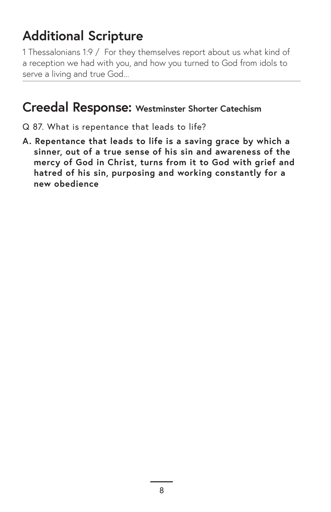# **Additional Scripture**

1 Thessalonians 1:9 / For they themselves report about us what kind of a reception we had with you, and how you turned to God from idols to serve a living and true God...

### **Creedal Response: Westminster Shorter Catechism**

- Q 87. What is repentance that leads to life?
- **A. Repentance that leads to life is a saving grace by which a sinner, out of a true sense of his sin and awareness of the mercy of God in Christ, turns from it to God with grief and hatred of his sin, purposing and working constantly for a new obedience**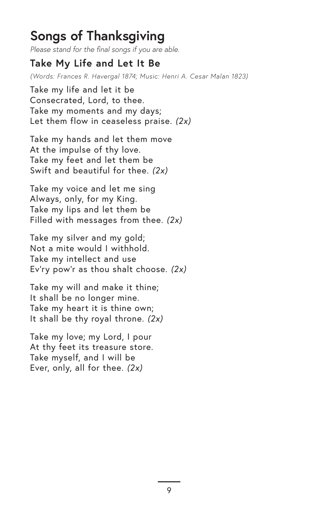# **Songs of Thanksgiving**

*Please stand for the final songs if you are able.*

### **Take My Life and Let It Be**

*(Words: Frances R. Havergal 1874; Music: Henri A. Cesar Malan 1823)*

Take my life and let it be Consecrated, Lord, to thee. Take my moments and my days; Let them flow in ceaseless praise. *(2x)*

Take my hands and let them move At the impulse of thy love. Take my feet and let them be Swift and beautiful for thee. *(2x)*

Take my voice and let me sing Always, only, for my King. Take my lips and let them be Filled with messages from thee. *(2x)*

Take my silver and my gold; Not a mite would I withhold. Take my intellect and use Ev'ry pow'r as thou shalt choose. *(2x)*

Take my will and make it thine; It shall be no longer mine. Take my heart it is thine own; It shall be thy royal throne. *(2x)*

Take my love; my Lord, I pour At thy feet its treasure store. Take myself, and I will be Ever, only, all for thee. *(2x)*